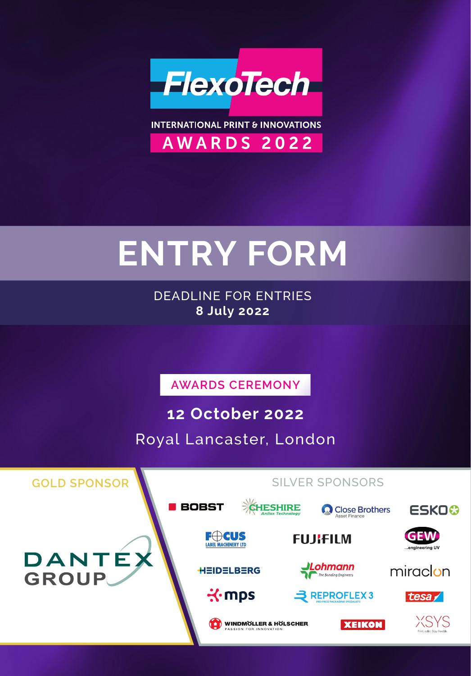

**INTERNATIONAL PRINT & INNOVATIONS** AWARDS 2022

# **ENTRY FORM**

DEADLINE FOR ENTRIES **8 July 2022**

**AWARDS CEREMONY**

**12 October 2022**

Royal Lancaster, London

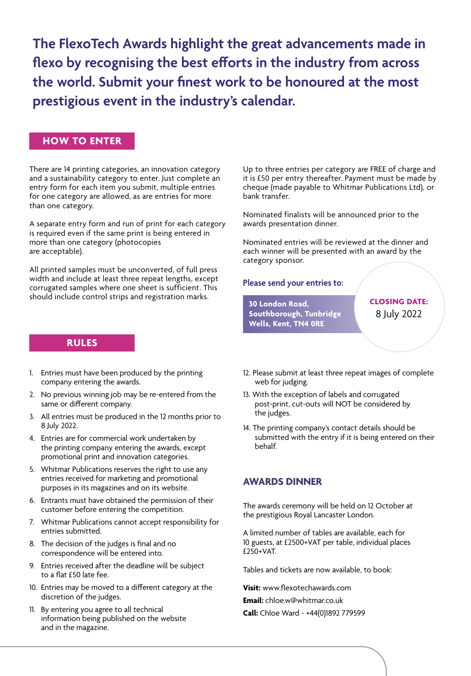**The FlexoTech Awards highlight the great advancements made in flexo by recognising the best efforts in the industry from across the world. Submit your finest work to be honoured at the most prestigious event in the industry's calendar.**

#### **HOW TO ENTER**

There are 14 printing categories, an innovation category and a sustainability category to enter. Just complete an entry form for each item you submit, multiple entries for one category are allowed, as are entries for more than one category.

A separate entry form and run of print for each category is required even if the same print is being entered in more than one category (photocopies are acceptable).

All printed samples must be unconverted, of full press width and include at least three repeat lengths, except corrugated samples where one sheet is sufficient. This should include control strips and registration marks.

#### **RULES**

- 1. Entries must have been produced by the printing company entering the awards.
- 2. No previous winning job may be re-entered from the same or different company.
- 3. All entries must be produced in the 12 months prior to 8 July 2022.
- 4. Entries are for commercial work undertaken by the printing company entering the awards, except promotional print and innovation categories.
- 5. Whitmar Publications reserves the right to use any entries received for marketing and promotional purposes in its magazines and on its website.
- 6. Entrants must have obtained the permission of their customer before entering the competition.
- 7. Whitmar Publications cannot accept responsibility for entries submitted.
- 8. The decision of the judges is final and no correspondence will be entered into.
- 9. Entries received after the deadline will be subject to a flat £50 late fee.
- 10. Entries may be moved to a different category at the discretion of the judges.
- 11. By entering you agree to all technical information being published on the website and in the magazine.

Up to three entries per category are FREE of charge and it is £50 per entry thereafter. Payment must be made by cheque (made payable to Whitmar Publications Ltd), or bank transfer.

Nominated finalists will be announced prior to the awards presentation dinner.

Nominated entries will be reviewed at the dinner and each winner will be presented with an award by the category sponsor.

#### **Please send your entries to:**

**30 London Road, Southborough, Tunbridge Wells, Kent, TN4 0RE**

**CLOSING DATE:** 8 July 2022

- 12. Please submit at least three repeat images of complete web for judging.
- 13. With the exception of labels and corrugated post-print, cut-outs will NOT be considered by the judges.
- 14. The printing company's contact details should be submitted with the entry if it is being entered on their behalf.

#### **AWARDS DINNER**

The awards ceremony will be held on 12 October at the prestigious Royal Lancaster London.

A limited number of tables are available, each for 10 guests, at £2500+VAT per table, individual places  $f$ 250+VAT.

Tables and tickets are now available, to book:

**Visit:** www.flexotechawards.com

**Email:** chloe.w@whitmar.co.uk

**Call:** Chloe Ward - +44(0)1892 779599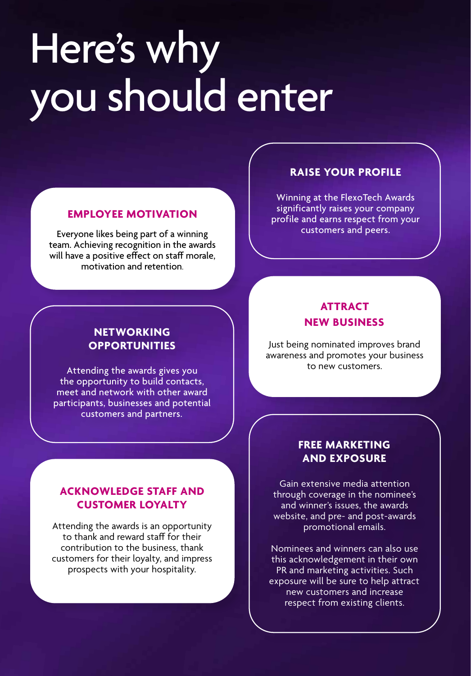# Here's why you should enter

#### **EMPLOYEE MOTIVATION**

Everyone likes being part of a winning team. Achieving recognition in the awards will have a positive effect on staff morale, motivation and retention.

# **NETWORKING OPPORTUNITIES**

Attending the awards gives you the opportunity to build contacts, meet and network with other award participants, businesses and potential customers and partners.

## **ACKNOWLEDGE STAFF AND CUSTOMER LOYALTY**

Attending the awards is an opportunity to thank and reward staff for their contribution to the business, thank customers for their loyalty, and impress prospects with your hospitality.

## **RAISE YOUR PROFILE**

Winning at the FlexoTech Awards significantly raises your company profile and earns respect from your customers and peers.

# **ATTRACT NEW BUSINESS**

Just being nominated improves brand awareness and promotes your business to new customers.

# **FREE MARKETING AND EXPOSURE**

Gain extensive media attention through coverage in the nominee's and winner's issues, the awards website, and pre- and post-awards promotional emails.

Nominees and winners can also use this acknowledgement in their own PR and marketing activities. Such exposure will be sure to help attract new customers and increase respect from existing clients.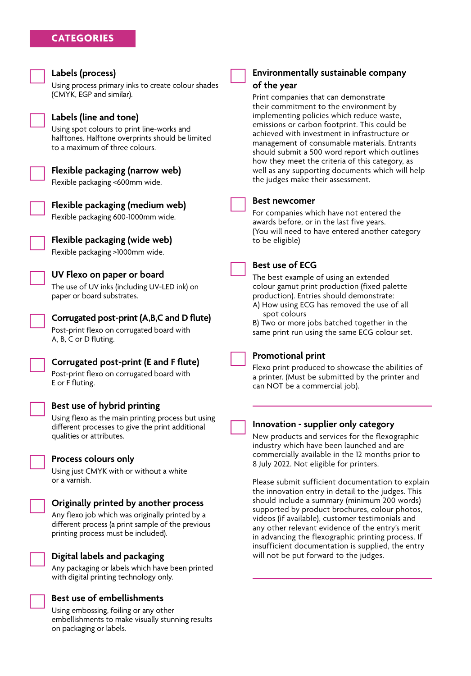

on packaging or labels.

#### **Environmentally sustainable company of the year**

Print companies that can demonstrate their commitment to the environment by implementing policies which reduce waste, emissions or carbon footprint. This could be achieved with investment in infrastructure or management of consumable materials. Entrants should submit a 500 word report which outlines how they meet the criteria of this category, as well as any supporting documents which will help the judges make their assessment.

#### **Best newcomer**

For companies which have not entered the awards before, or in the last five years. (You will need to have entered another category to be eligible)

#### **Best use of ECG**

The best example of using an extended colour gamut print production (fixed palette production). Entries should demonstrate: A) How using ECG has removed the use of all

 spot colours B) Two or more jobs batched together in the

same print run using the same ECG colour set.



#### **Promotional print**

Flexo print produced to showcase the abilities of a printer. (Must be submitted by the printer and can NOT be a commercial job).

#### **Innovation - supplier only category**

New products and services for the flexographic industry which have been launched and are commercially available in the 12 months prior to 8 July 2022. Not eligible for printers.

Please submit sufficient documentation to explain the innovation entry in detail to the judges. This should include a summary (minimum 200 words) supported by product brochures, colour photos, videos (if available), customer testimonials and any other relevant evidence of the entry's merit in advancing the flexographic printing process. If insufficient documentation is supplied, the entry will not be put forward to the judges.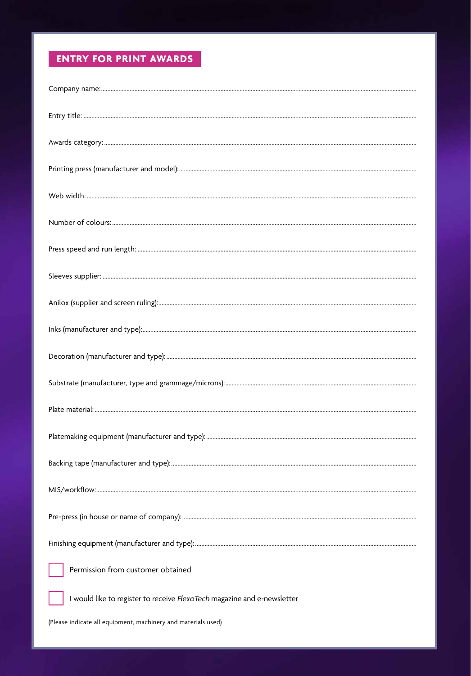# **ENTRY FOR PRINT AWARDS**

| Permission from customer obtained                                       |
|-------------------------------------------------------------------------|
| I would like to register to receive FlexoTech magazine and e-newsletter |
| (Please indicate all equipment, machinery and materials used)           |